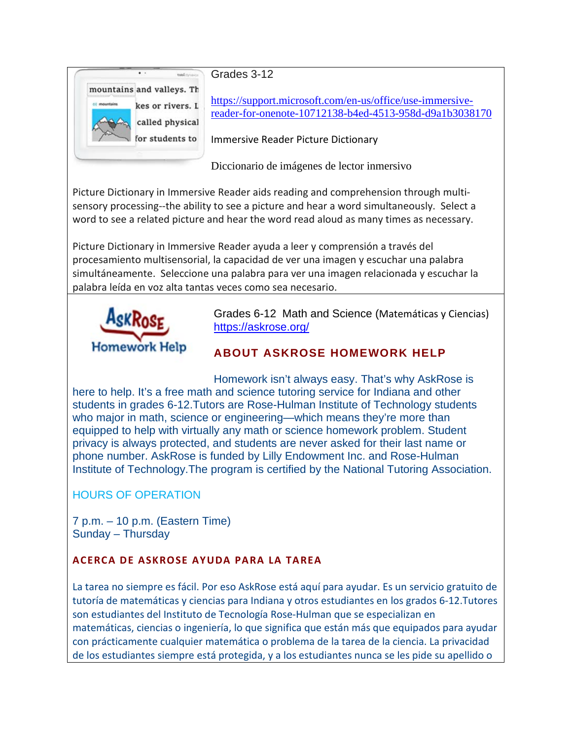

Grades 3-12

[https://support.microsoft.com/en-us/office/use-immersive](https://support.microsoft.com/en-us/office/use-immersive-reader-for-onenote-10712138-b4ed-4513-958d-d9a1b3038170)[reader-for-onenote-10712138-b4ed-4513-958d-d9a1b3038170](https://support.microsoft.com/en-us/office/use-immersive-reader-for-onenote-10712138-b4ed-4513-958d-d9a1b3038170)

Immersive Reader Picture Dictionary

Diccionario de imágenes de lector inmersivo

Picture Dictionary in Immersive Reader aids reading and comprehension through multisensory processing--the ability to see a picture and hear a word simultaneously. Select a word to see a related picture and hear the word read aloud as many times as necessary.

Picture Dictionary in Immersive Reader ayuda a leer y comprensión a través del procesamiento multisensorial, la capacidad de ver una imagen y escuchar una palabra simultáneamente. Seleccione una palabra para ver una imagen relacionada y escuchar la palabra leída en voz alta tantas veces como sea necesario.



Grades 6-12 Math and Science (Matemáticas y Ciencias) <https://askrose.org/>

## **ABOUT ASKROSE HOMEWORK HELP**

Homework isn't always easy. That's why AskRose is here to help. It's a free math and science tutoring service for Indiana and other students in grades 6-12.Tutors are Rose-Hulman Institute of Technology students who major in math, science or engineering—which means they're more than equipped to help with virtually any math or science homework problem. Student privacy is always protected, and students are never asked for their last name or phone number. AskRose is funded by Lilly Endowment Inc. and Rose-Hulman Institute of Technology.The program is certified by the National Tutoring Association.

## HOURS OF OPERATION

7 p.m. – 10 p.m. (Eastern Time) Sunday – Thursday

## **ACERCA DE ASKROSE AYUDA PARA LA TAREA**

La tarea no siempre es fácil. Por eso AskRose está aquí para ayudar. Es un servicio gratuito de tutoría de matemáticas y ciencias para Indiana y otros estudiantes en los grados 6-12.Tutores son estudiantes del Instituto de Tecnología Rose-Hulman que se especializan en matemáticas, ciencias o ingeniería, lo que significa que están más que equipados para ayudar con prácticamente cualquier matemática o problema de la tarea de la ciencia. La privacidad de los estudiantes siempre está protegida, y a los estudiantes nunca se les pide su apellido o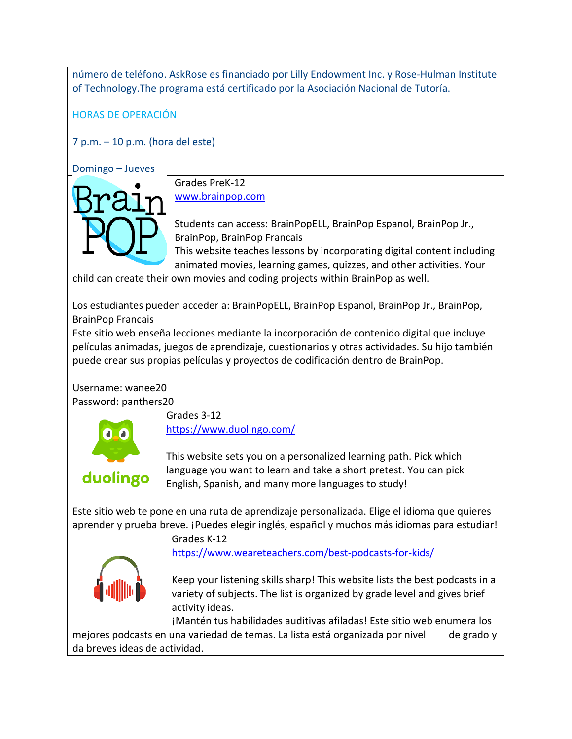número de teléfono. AskRose es financiado por Lilly Endowment Inc. y Rose-Hulman Institute of Technology.The programa está certificado por la Asociación Nacional de Tutoría.

HORAS DE OPERACIÓN

7 p.m. – 10 p.m. (hora del este)

Domingo – Jueves



Grades PreK-12 [www.brainpop.com](http://www.brainpop.com/)

Students can access: BrainPopELL, BrainPop Espanol, BrainPop Jr., BrainPop, BrainPop Francais

This website teaches lessons by incorporating digital content including animated movies, learning games, quizzes, and other activities. Your

child can create their own movies and coding projects within BrainPop as well.

Los estudiantes pueden acceder a: BrainPopELL, BrainPop Espanol, BrainPop Jr., BrainPop, BrainPop Francais

Este sitio web enseña lecciones mediante la incorporación de contenido digital que incluye películas animadas, juegos de aprendizaje, cuestionarios y otras actividades. Su hijo también puede crear sus propias películas y proyectos de codificación dentro de BrainPop.

Username: wanee20

Password: panthers20



Grades 3-12 <https://www.duolingo.com/>

## duolingo

This website sets you on a personalized learning path. Pick which language you want to learn and take a short pretest. You can pick English, Spanish, and many more languages to study!

Este sitio web te pone en una ruta de aprendizaje personalizada. Elige el idioma que quieres aprender y prueba breve. ¡Puedes elegir inglés, español y muchos más idiomas para estudiar!

> Grades K-12 <https://www.weareteachers.com/best-podcasts-for-kids/>



Keep your listening skills sharp! This website lists the best podcasts in a variety of subjects. The list is organized by grade level and gives brief activity ideas.

¡Mantén tus habilidades auditivas afiladas! Este sitio web enumera los mejores podcasts en una variedad de temas. La lista está organizada por nivel de grado y da breves ideas de actividad.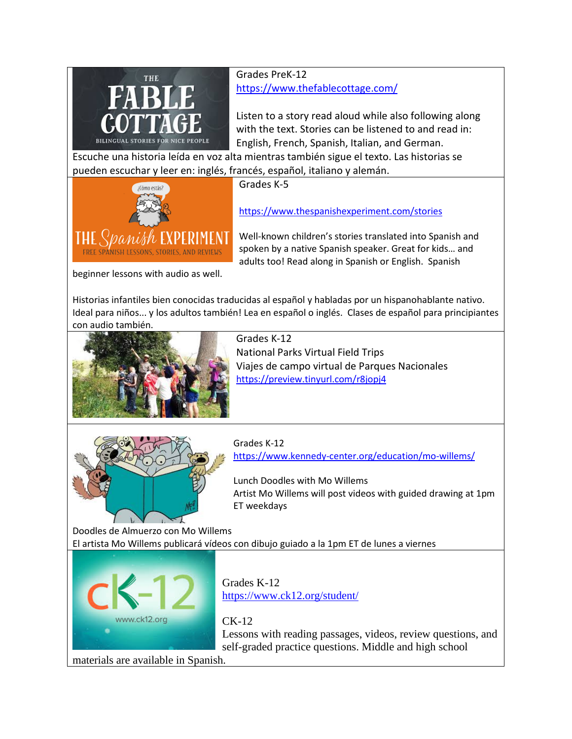

Grades PreK-12 <https://www.thefablecottage.com/>

Listen to a story read aloud while also following along with the text. Stories can be listened to and read in: English, French, Spanish, Italian, and German.

Escuche una historia leída en voz alta mientras también sigue el texto. Las historias se pueden escuchar y leer en: inglés, francés, español, italiano y alemán.



Grades K-5

<https://www.thespanishexperiment.com/stories>

Well-known children's stories translated into Spanish and spoken by a native Spanish speaker. Great for kids… and adults too! Read along in Spanish or English. Spanish

beginner lessons with audio as well.

Historias infantiles bien conocidas traducidas al español y habladas por un hispanohablante nativo. Ideal para niños... y los adultos también! Lea en español o inglés. Clases de español para principiantes con audio también.



Grades K-12 National Parks Virtual Field Trips Viajes de campo virtual de Parques Nacionales <https://preview.tinyurl.com/r8jopj4>



Grades K-12 <https://www.kennedy-center.org/education/mo-willems/>

Lunch Doodles with Mo Willems Artist Mo Willems will post videos with guided drawing at 1pm ET weekdays

Doodles de Almuerzo con Mo Willems El artista Mo Willems publicará vídeos con dibujo guiado a la 1pm ET de lunes a viernes



Grades K-12 <https://www.ck12.org/student/>

CK-12

Lessons with reading passages, videos, review questions, and self-graded practice questions. Middle and high school

materials are available in Spanish.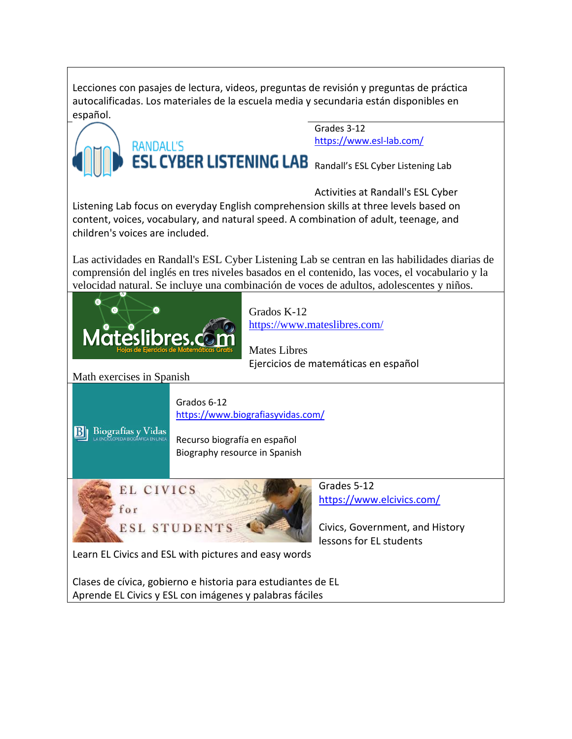